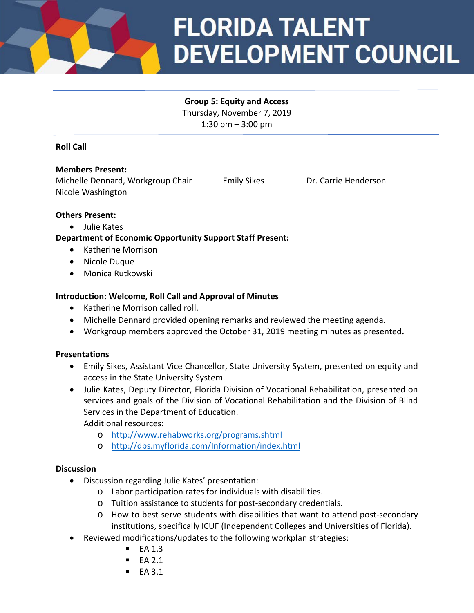

# **FLORIDA TALENT DEVELOPMENT COUNCIL**

#### **Group 5: Equity and Access** Thursday, November 7, 2019

1:30 pm – 3:00 pm

## **Roll Call**

## **Members Present:**

Michelle Dennard, Workgroup Chair Emily Sikes Dr. Carrie Henderson Nicole Washington

## **Others Present:**

• Julie Kates

## **Department of Economic Opportunity Support Staff Present:**

- Katherine Morrison
- Nicole Duque
- Monica Rutkowski

## **Introduction: Welcome, Roll Call and Approval of Minutes**

- Katherine Morrison called roll.
- Michelle Dennard provided opening remarks and reviewed the meeting agenda.
- Workgroup members approved the October 31, 2019 meeting minutes as presented**.**

## **Presentations**

- Emily Sikes, Assistant Vice Chancellor, State University System, presented on equity and access in the State University System.
- Julie Kates, Deputy Director, Florida Division of Vocational Rehabilitation, presented on services and goals of the Division of Vocational Rehabilitation and the Division of Blind Services in the Department of Education.

Additional resources:

- o <http://www.rehabworks.org/programs.shtml>
- o <http://dbs.myflorida.com/Information/index.html>

## **Discussion**

- Discussion regarding Julie Kates' presentation:
	- o Labor participation rates for individuals with disabilities.
	- o Tuition assistance to students for post-secondary credentials.
	- o How to best serve students with disabilities that want to attend post-secondary institutions, specifically ICUF (Independent Colleges and Universities of Florida).
- Reviewed modifications/updates to the following workplan strategies:
	- $E$ A 1.3
	- $E_A 2.1$
	- $E<sub>A</sub>$  3.1